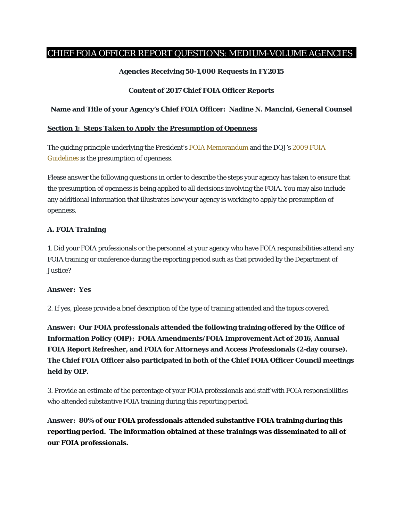# CHIEF FOIA OFFICER REPORT QUESTIONS: MEDIUM-VOLUME AGENCIES

# **Agencies Receiving 50-1,000 Requests in FY2015**

# **Content of 2017 Chief FOIA Officer Reports**

# **Name and Title of your Agency's Chief FOIA Officer: Nadine N. Mancini, General Counsel**

# *Section 1: Steps Taken to Apply the Presumption of Openness*

The guiding principle underlying the President's FOIA Memorandum and the DOJ's 2009 FOIA Guidelines is the presumption of openness.

Please answer the following questions in order to describe the steps your agency has taken to ensure that the presumption of openness is being applied to all decisions involving the FOIA. You may also include any additional information that illustrates how your agency is working to apply the presumption of openness.

# *A. FOIA Training*

1. Did your FOIA professionals or the personnel at your agency who have FOIA responsibilities attend any FOIA training or conference during the reporting period such as that provided by the Department of Justice?

#### **Answer: Yes**

2. If yes, please provide a brief description of the type of training attended and the topics covered.

**Answer: Our FOIA professionals attended the following training offered by the Office of Information Policy (OIP): FOIA Amendments/FOIA Improvement Act of 2016, Annual FOIA Report Refresher, and FOIA for Attorneys and Access Professionals (2-day course). The Chief FOIA Officer also participated in both of the Chief FOIA Officer Council meetings held by OIP.** 

3. Provide an estimate of the percentage of your FOIA professionals and staff with FOIA responsibilities who attended substantive FOIA training during this reporting period.

**Answer: 80% of our FOIA professionals attended substantive FOIA training during this reporting period. The information obtained at these trainings was disseminated to all of our FOIA professionals.**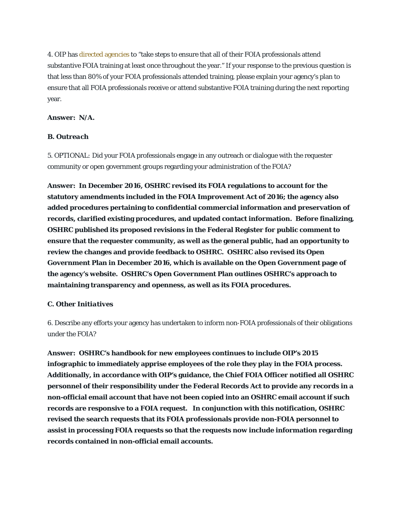4. OIP has directed agencies to "take steps to ensure that all of their FOIA professionals attend substantive FOIA training at least once throughout the year." If your response to the previous question is that less than 80% of your FOIA professionals attended training, please explain your agency's plan to ensure that all FOIA professionals receive or attend substantive FOIA training during the next reporting year.

#### **Answer: N/A.**

#### *B. Outreach*

5. *OPTIONAL:* Did your FOIA professionals engage in any outreach or dialogue with the requester community or open government groups regarding your administration of the FOIA?

**Answer: In December 2016, OSHRC revised its FOIA regulations to account for the statutory amendments included in the FOIA Improvement Act of 2016; the agency also added procedures pertaining to confidential commercial information and preservation of records, clarified existing procedures, and updated contact information. Before finalizing, OSHRC published its proposed revisions in the Federal Register for public comment to ensure that the requester community, as well as the general public, had an opportunity to review the changes and provide feedback to OSHRC. OSHRC also revised its Open Government Plan in December 2016, which is available on the Open Government page of the agency's website. OSHRC's Open Government Plan outlines OSHRC's approach to maintaining transparency and openness, as well as its FOIA procedures.** 

#### *C. Other Initiatives*

6. Describe any efforts your agency has undertaken to inform non-FOIA professionals of their obligations under the FOIA?

**Answer: OSHRC's handbook for new employees continues to include OIP's 2015 infographic to immediately apprise employees of the role they play in the FOIA process. Additionally, in accordance with OIP's guidance, the Chief FOIA Officer notified all OSHRC personnel of their responsibility under the Federal Records Act to provide any records in a non-official email account that have not been copied into an OSHRC email account if such records are responsive to a FOIA request. In conjunction with this notification, OSHRC revised the search requests that its FOIA professionals provide non-FOIA personnel to assist in processing FOIA requests so that the requests now include information regarding records contained in non-official email accounts.**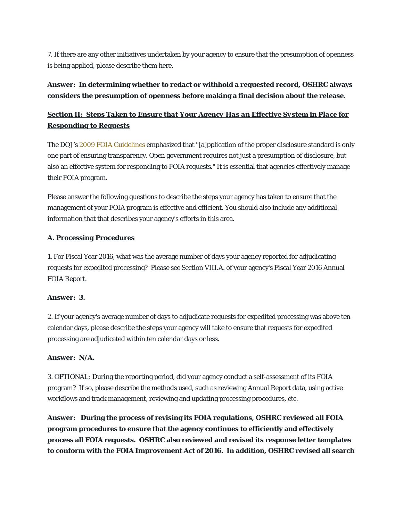7. If there are any other initiatives undertaken by your agency to ensure that the presumption of openness is being applied, please describe them here.

# **Answer: In determining whether to redact or withhold a requested record, OSHRC always considers the presumption of openness before making a final decision about the release.**

# *Section II: Steps Taken to Ensure that Your Agency Has an Effective System in Place for Responding to Requests*

The DOJ's 2009 FOIA Guidelines emphasized that "[a]pplication of the proper disclosure standard is only one part of ensuring transparency. Open government requires not just a presumption of disclosure, but also an effective system for responding to FOIA requests." It is essential that agencies effectively manage their FOIA program.

Please answer the following questions to describe the steps your agency has taken to ensure that the management of your FOIA program is effective and efficient. You should also include any additional information that that describes your agency's efforts in this area.

# *A. Processing Procedures*

1. For Fiscal Year 2016, what was the average number of days your agency reported for adjudicating requests for expedited processing? Please see Section VIII.A. of your agency's Fiscal Year 2016 Annual FOIA Report.

# **Answer: 3.**

2. If your agency's average number of days to adjudicate requests for expedited processing was above ten calendar days, please describe the steps your agency will take to ensure that requests for expedited processing are adjudicated within ten calendar days or less.

# **Answer: N/A.**

3. *OPTIONAL:* During the reporting period, did your agency conduct a self-assessment of its FOIA program? If so, please describe the methods used, such as reviewing Annual Report data, using active workflows and track management, reviewing and updating processing procedures, etc.

**Answer: During the process of revising its FOIA regulations, OSHRC reviewed all FOIA program procedures to ensure that the agency continues to efficiently and effectively process all FOIA requests. OSHRC also reviewed and revised its response letter templates to conform with the FOIA Improvement Act of 2016. In addition, OSHRC revised all search**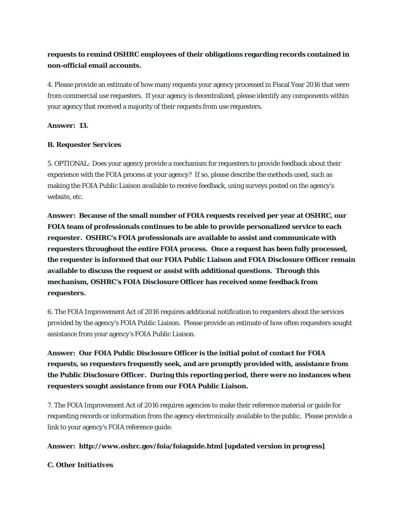# **requests to remind OSHRC employees of their obligations regarding records contained in non-official email accounts.**

4. Please provide an estimate of how many requests your agency processed in Fiscal Year 2016 that were from commercial use requesters. If your agency is decentralized, please identify any components within your agency that received a majority of their requests from use requesters.

# **Answer: 13.**

# *B. Requester Services*

5. *OPTIONAL:* Does your agency provide a mechanism for requesters to provide feedback about their experience with the FOIA process at your agency? If so, please describe the methods used, such as making the FOIA Public Liaison available to receive feedback, using surveys posted on the agency's website, etc.

**Answer: Because of the small number of FOIA requests received per year at OSHRC, our FOIA team of professionals continues to be able to provide personalized service to each requester. OSHRC's FOIA professionals are available to assist and communicate with requesters throughout the entire FOIA process. Once a request has been fully processed, the requester is informed that our FOIA Public Liaison and FOIA Disclosure Officer remain available to discuss the request or assist with additional questions. Through this mechanism, OSHRC's FOIA Disclosure Officer has received some feedback from requesters.**

6. The FOIA Improvement Act of 2016 requires additional notification to requesters about the services provided by the agency's FOIA Public Liaison. Please provide an estimate of how often requesters sought assistance from your agency's FOIA Public Liaison.

**Answer: Our FOIA Public Disclosure Officer is the initial point of contact for FOIA requests, so requesters frequently seek, and are promptly provided with, assistance from the Public Disclosure Officer. During this reporting period, there were no instances when requesters sought assistance from our FOIA Public Liaison.** 

7. The FOIA Improvement Act of 2016 requires agencies to make their reference material or guide for requesting records or information from the agency electronically available to the public. Please provide a link to your agency's FOIA reference guide.

# **Answer: http://www.oshrc.gov/foia/foiaguide.html [updated version in progress]**

# *C. Other Initiatives*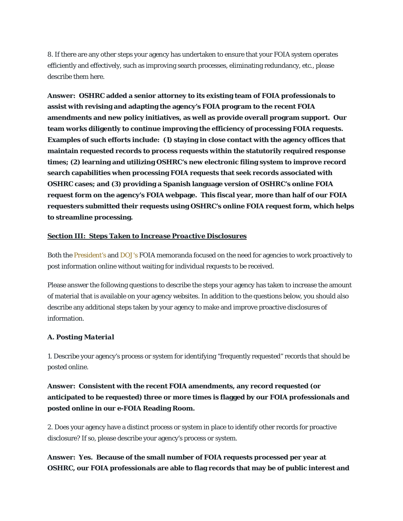8. If there are any other steps your agency has undertaken to ensure that your FOIA system operates efficiently and effectively, such as improving search processes, eliminating redundancy, etc., please describe them here.

**Answer: OSHRC added a senior attorney to its existing team of FOIA professionals to assist with revising and adapting the agency's FOIA program to the recent FOIA amendments and new policy initiatives, as well as provide overall program support. Our team works diligently to continue improving the efficiency of processing FOIA requests. Examples of such efforts include: (1) staying in close contact with the agency offices that maintain requested records to process requests within the statutorily required response times; (2) learning and utilizing OSHRC's new electronic filing system to improve record search capabilities when processing FOIA requests that seek records associated with OSHRC cases; and (3) providing a Spanish language version of OSHRC's online FOIA request form on the agency's FOIA webpage. This fiscal year, more than half of our FOIA requesters submitted their requests using OSHRC's online FOIA request form, which helps to streamline processing.** 

# *Section III: Steps Taken to Increase Proactive Disclosures*

Both the President's and DOJ's FOIA memoranda focused on the need for agencies to work proactively to post information online without waiting for individual requests to be received.

Please answer the following questions to describe the steps your agency has taken to increase the amount of material that is available on your agency websites. In addition to the questions below, you should also describe any additional steps taken by your agency to make and improve proactive disclosures of information.

# *A. Posting Material*

1. Describe your agency's process or system for identifying "frequently requested" records that should be posted online.

# **Answer: Consistent with the recent FOIA amendments, any record requested (or anticipated to be requested) three or more times is flagged by our FOIA professionals and posted online in our e-FOIA Reading Room.**

2. Does your agency have a distinct process or system in place to identify other records for proactive disclosure? If so, please describe your agency's process or system.

# **Answer: Yes. Because of the small number of FOIA requests processed per year at OSHRC, our FOIA professionals are able to flag records that may be of public interest and**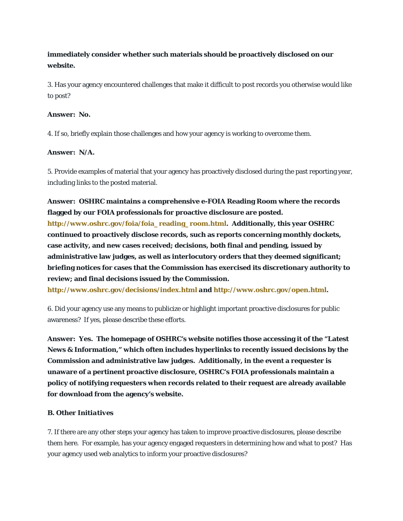# **immediately consider whether such materials should be proactively disclosed on our website.**

3. Has your agency encountered challenges that make it difficult to post records you otherwise would like to post?

# **Answer: No.**

4. If so, briefly explain those challenges and how your agency is working to overcome them.

# **Answer: N/A.**

5. Provide examples of material that your agency has proactively disclosed during the past reporting year, including links to the posted material.

# **Answer: OSHRC maintains a comprehensive e-FOIA Reading Room where the records flagged by our FOIA professionals for proactive disclosure are posted.**

**http://www.oshrc.gov/foia/foia\_reading\_room.html. Additionally, this year OSHRC continued to proactively disclose records, such as reports concerning monthly dockets, case activity, and new cases received; decisions, both final and pending, issued by administrative law judges, as well as interlocutory orders that they deemed significant; briefing notices for cases that the Commission has exercised its discretionary authority to review; and final decisions issued by the Commission.** 

**http://www.oshrc.gov/decisions/index.html** *and* **http://www.oshrc.gov/open.html.** 

6. Did your agency use any means to publicize or highlight important proactive disclosures for public awareness? If yes, please describe these efforts.

**Answer: Yes. The homepage of OSHRC's website notifies those accessing it of the "Latest News & Information," which often includes hyperlinks to recently issued decisions by the Commission and administrative law judges. Additionally, in the event a requester is unaware of a pertinent proactive disclosure, OSHRC's FOIA professionals maintain a policy of notifying requesters when records related to their request are already available for download from the agency's website.** 

# *B. Other Initiatives*

7. If there are any other steps your agency has taken to improve proactive disclosures, please describe them here. For example, has your agency engaged requesters in determining how and what to post? Has your agency used web analytics to inform your proactive disclosures?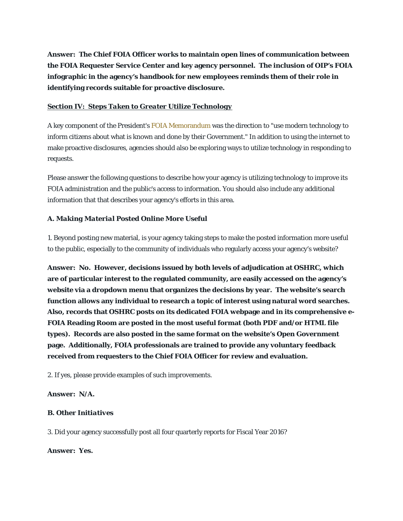**Answer: The Chief FOIA Officer works to maintain open lines of communication between the FOIA Requester Service Center and key agency personnel. The inclusion of OIP's FOIA infographic in the agency's handbook for new employees reminds them of their role in identifying records suitable for proactive disclosure.** 

### *Section IV: Steps Taken to Greater Utilize Technology*

A key component of the President's FOIA Memorandum was the direction to "use modern technology to inform citizens about what is known and done by their Government." In addition to using the internet to make proactive disclosures, agencies should also be exploring ways to utilize technology in responding to requests.

Please answer the following questions to describe how your agency is utilizing technology to improve its FOIA administration and the public's access to information. You should also include any additional information that that describes your agency's efforts in this area.

#### *A. Making Material Posted Online More Useful*

1. Beyond posting new material, is your agency taking steps to make the posted information more useful to the public, especially to the community of individuals who regularly access your agency's website?

**Answer: No. However, decisions issued by both levels of adjudication at OSHRC, which are of particular interest to the regulated community, are easily accessed on the agency's website via a dropdown menu that organizes the decisions by year. The website's search function allows any individual to research a topic of interest using natural word searches. Also, records that OSHRC posts on its dedicated FOIA webpage and in its comprehensive e-FOIA Reading Room are posted in the most useful format (both PDF and/or HTML file types). Records are also posted in the same format on the website's Open Government page. Additionally, FOIA professionals are trained to provide any voluntary feedback received from requesters to the Chief FOIA Officer for review and evaluation.** 

2. If yes, please provide examples of such improvements.

#### **Answer: N/A.**

# *B. Other Initiatives*

3. Did your agency successfully post all four quarterly reports for Fiscal Year 2016?

#### **Answer: Yes.**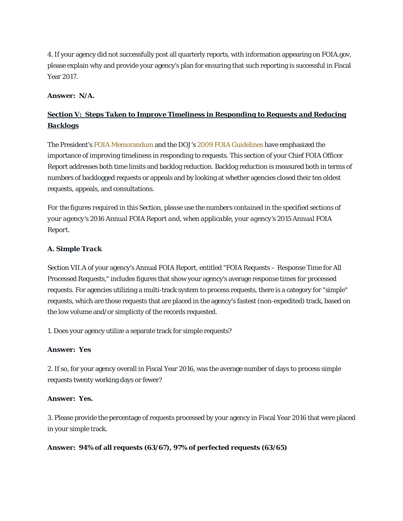4. If your agency did not successfully post all quarterly reports, with information appearing on FOIA.gov, please explain why and provide your agency's plan for ensuring that such reporting is successful in Fiscal Year 2017.

#### **Answer: N/A.**

# *Section V: Steps Taken to Improve Timeliness in Responding to Requests and Reducing Backlogs*

The President's FOIA Memorandum and the DOJ's 2009 FOIA Guidelines have emphasized the importance of improving timeliness in responding to requests. This section of your Chief FOIA Officer Report addresses both time limits and backlog reduction. Backlog reduction is measured both in terms of numbers of backlogged requests or appeals and by looking at whether agencies closed their ten oldest requests, appeals, and consultations.

*For the figures required in this Section, please use the numbers contained in the specified sections of your agency's 2016 Annual FOIA Report and, when applicable, your agency's 2015 Annual FOIA Report.*

#### *A. Simple Track*

Section VII.A of your agency's Annual FOIA Report, entitled "FOIA Requests – Response Time for All Processed Requests," includes figures that show your agency's average response times for processed requests. For agencies utilizing a multi-track system to process requests, there is a category for "simple" requests, which are those requests that are placed in the agency's fastest (non-expedited) track, based on the low volume and/or simplicity of the records requested.

1. Does your agency utilize a separate track for simple requests?

#### **Answer: Yes**

2. If so, for your agency overall in Fiscal Year 2016, was the average number of days to process simple requests twenty working days or fewer?

#### **Answer: Yes.**

3. Please provide the percentage of requests processed by your agency in Fiscal Year 2016 that were placed in your simple track.

#### **Answer: 94% of all requests (63/67), 97% of perfected requests (63/65)**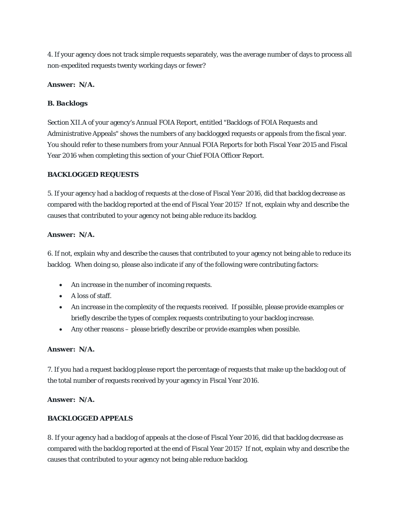4. If your agency does not track simple requests separately, was the average number of days to process all non-expedited requests twenty working days or fewer?

# **Answer: N/A.**

# *B. Backlogs*

Section XII.A of your agency's Annual FOIA Report, entitled "Backlogs of FOIA Requests and Administrative Appeals" shows the numbers of any backlogged requests or appeals from the fiscal year. You should refer to these numbers from your Annual FOIA Reports for both Fiscal Year 2015 and Fiscal Year 2016 when completing this section of your Chief FOIA Officer Report.

# **BACKLOGGED REQUESTS**

5. If your agency had a backlog of requests at the close of Fiscal Year 2016, did that backlog decrease as compared with the backlog reported at the end of Fiscal Year 2015? If not, explain why and describe the causes that contributed to your agency not being able reduce its backlog.

# **Answer: N/A.**

6. If not, explain why and describe the causes that contributed to your agency not being able to reduce its backlog. When doing so, please also indicate if any of the following were contributing factors:

- An increase in the number of incoming requests.
- $\bullet$  A loss of staff.
- An increase in the complexity of the requests received. If possible, please provide examples or briefly describe the types of complex requests contributing to your backlog increase.
- Any other reasons please briefly describe or provide examples when possible.

# **Answer: N/A.**

7. If you had a request backlog please report the percentage of requests that make up the backlog out of the total number of requests *received* by your agency in Fiscal Year 2016.

# **Answer: N/A.**

# **BACKLOGGED APPEALS**

8. If your agency had a backlog of appeals at the close of Fiscal Year 2016, did that backlog decrease as compared with the backlog reported at the end of Fiscal Year 2015? If not, explain why and describe the causes that contributed to your agency not being able reduce backlog.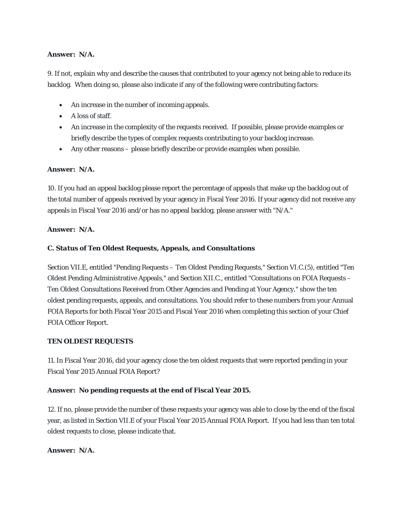# **Answer: N/A.**

9. If not, explain why and describe the causes that contributed to your agency not being able to reduce its backlog. When doing so, please also indicate if any of the following were contributing factors:

- An increase in the number of incoming appeals.
- A loss of staff.
- An increase in the complexity of the requests received. If possible, please provide examples or briefly describe the types of complex requests contributing to your backlog increase.
- Any other reasons please briefly describe or provide examples when possible.

# **Answer: N/A.**

10. If you had an appeal backlog please report the percentage of appeals that make up the backlog out of the total number of appeals received by your agency in Fiscal Year 2016. If your agency did not receive any appeals in Fiscal Year 2016 and/or has no appeal backlog, please answer with "N/A."

#### **Answer: N/A.**

# *C. Status of Ten Oldest Requests, Appeals, and Consultations*

Section VII.E, entitled "Pending Requests – Ten Oldest Pending Requests," Section VI.C.(5), entitled "Ten Oldest Pending Administrative Appeals," and Section XII.C., entitled "Consultations on FOIA Requests – Ten Oldest Consultations Received from Other Agencies and Pending at Your Agency," show the ten oldest pending requests, appeals, and consultations. You should refer to these numbers from your Annual FOIA Reports for both Fiscal Year 2015 and Fiscal Year 2016 when completing this section of your Chief FOIA Officer Report.

#### **TEN OLDEST REQUESTS**

11. In Fiscal Year 2016, did your agency close the ten oldest requests that were reported pending in your Fiscal Year 2015 Annual FOIA Report?

# **Answer: No pending requests at the end of Fiscal Year 2015.**

12. If no, please provide the number of these requests your agency was able to close by the end of the fiscal year, as listed in Section VII.E of your Fiscal Year 2015 Annual FOIA Report. If you had less than ten total oldest requests to close, please indicate that.

#### **Answer: N/A.**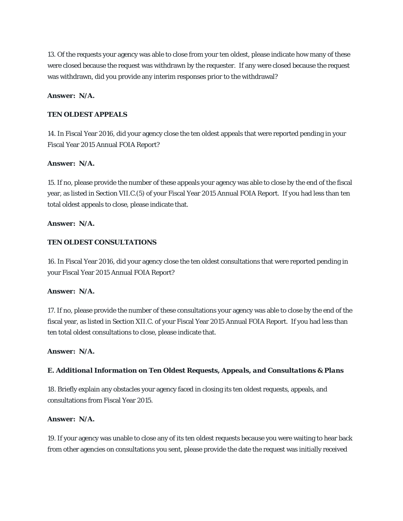13. Of the requests your agency was able to close from your ten oldest, please indicate how many of these were closed because the request was withdrawn by the requester. If any were closed because the request was withdrawn, did you provide any interim responses prior to the withdrawal?

#### **Answer: N/A.**

#### **TEN OLDEST APPEALS**

14. In Fiscal Year 2016, did your agency close the ten oldest appeals that were reported pending in your Fiscal Year 2015 Annual FOIA Report?

#### **Answer: N/A.**

15. If no, please provide the number of these appeals your agency was able to close by the end of the fiscal year, as listed in Section VII.C.(5) of your Fiscal Year 2015 Annual FOIA Report. If you had less than ten total oldest appeals to close, please indicate that.

#### **Answer: N/A.**

### **TEN OLDEST CONSULTATIONS**

16. In Fiscal Year 2016, did your agency close the ten oldest consultations that were reported pending in your Fiscal Year 2015 Annual FOIA Report?

#### **Answer: N/A.**

17. If no, please provide the number of these consultations your agency was able to close by the end of the fiscal year, as listed in Section XII.C. of your Fiscal Year 2015 Annual FOIA Report. If you had less than ten total oldest consultations to close, please indicate that.

### **Answer: N/A.**

#### *E. Additional Information on Ten Oldest Requests, Appeals, and Consultations & Plans*

18. Briefly explain any obstacles your agency faced in closing its ten oldest requests, appeals, and consultations from Fiscal Year 2015.

#### **Answer: N/A.**

19. If your agency was unable to close any of its ten oldest requests because you were waiting to hear back from other agencies on consultations you sent, please provide the date the request was initially received